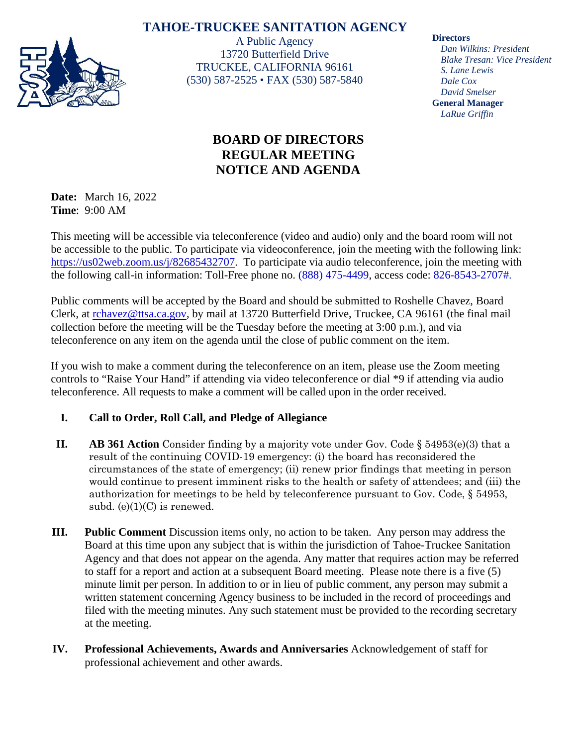## **TAHOE-TRUCKEE SANITATION AGENCY**



A Public Agency 13720 Butterfield Drive TRUCKEE, CALIFORNIA 96161 (530) 587-2525 • FAX (530) 587-5840

# **BOARD OF DIRECTORS REGULAR MEETING NOTICE AND AGENDA**

**Date:** March 16, 2022 **Time**: 9:00 AM

This meeting will be accessible via teleconference (video and audio) only and the board room will not be accessible to the public. To participate via videoconference, join the meeting with the following link: [https://us02web.zoom.us/j/82685432707.](https://us02web.zoom.us/j/82685432707) To participate via audio teleconference, join the meeting with the following call-in information: Toll-Free phone no. (888) 475-4499, access code: 826-8543-2707#.

Public comments will be accepted by the Board and should be submitted to Roshelle Chavez, Board Clerk, at [rchavez@ttsa.c](mailto:rchavez@ttsa.)a.gov, by mail at 13720 Butterfield Drive, Truckee, CA 96161 (the final mail collection before the meeting will be the Tuesday before the meeting at 3:00 p.m.), and via teleconference on any item on the agenda until the close of public comment on the item.

If you wish to make a comment during the teleconference on an item, please use the Zoom meeting controls to "Raise Your Hand" if attending via video teleconference or dial \*9 if attending via audio teleconference. All requests to make a comment will be called upon in the order received.

### **I. Call to Order, Roll Call, and Pledge of Allegiance**

- **II. AB 361 Action** Consider finding by a majority vote under Gov. Code § 54953(e)(3) that a result of the continuing COVID-19 emergency: (i) the board has reconsidered the circumstances of the state of emergency; (ii) renew prior findings that meeting in person would continue to present imminent risks to the health or safety of attendees; and (iii) the authorization for meetings to be held by teleconference pursuant to Gov. Code, § 54953, subd.  $(e)(1)(C)$  is renewed.
- **III. Public Comment** Discussion items only, no action to be taken. Any person may address the Board at this time upon any subject that is within the jurisdiction of Tahoe-Truckee Sanitation Agency and that does not appear on the agenda. Any matter that requires action may be referred to staff for a report and action at a subsequent Board meeting. Please note there is a five (5) minute limit per person. In addition to or in lieu of public comment, any person may submit a written statement concerning Agency business to be included in the record of proceedings and filed with the meeting minutes. Any such statement must be provided to the recording secretary at the meeting.
- **IV. Professional Achievements, Awards and Anniversaries** Acknowledgement of staff for professional achievement and other awards.

#### **Directors**

*Dan Wilkins: President Blake Tresan: Vice President S. Lane Lewis Dale Cox David Smelser* **General Manager** *LaRue Griffin*